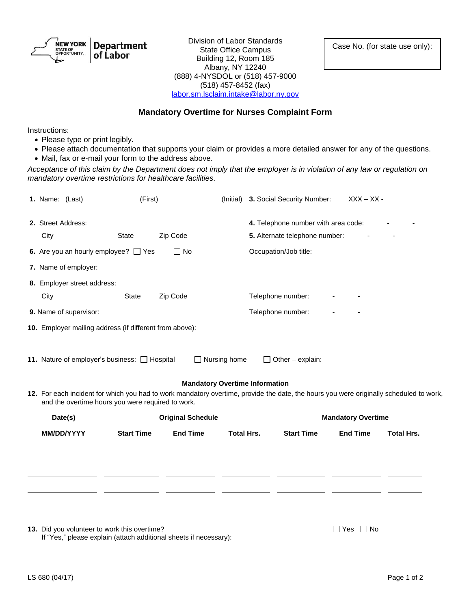NEW YORK **Department** STATE OF<br>OPPORTUNITY. of Labor

Division of Labor Standards<br>
State Office Campus<br>
Case No. (for state use only): State Office Campus Building 12, Room 185 Albany, NY 12240 (888) 4-NYSDOL or (518) 457-9000 (518) 457-8452 (fax) [labor.sm.lsclaim.intake@labor.ny.gov](mailto:labor.sm.lsclaim.intake@labor.ny.gov)

## **Mandatory Overtime for Nurses Complaint Form**

Instructions:

- Please type or print legibly.
- Please attach documentation that supports your claim or provides a more detailed answer for any of the questions.
- Mail, fax or e-mail your form to the address above.

*Acceptance of this claim by the Department does not imply that the employer is in violation of any law or regulation on mandatory overtime restrictions for healthcare facilities.*

|            |                                                                                                    |                                                                          |                                                                                                                                                                          |                                |                                          |                                                                                                            | $XXX - XX -$                                                                |                                                                                                                                                                     |  |
|------------|----------------------------------------------------------------------------------------------------|--------------------------------------------------------------------------|--------------------------------------------------------------------------------------------------------------------------------------------------------------------------|--------------------------------|------------------------------------------|------------------------------------------------------------------------------------------------------------|-----------------------------------------------------------------------------|---------------------------------------------------------------------------------------------------------------------------------------------------------------------|--|
|            |                                                                                                    |                                                                          |                                                                                                                                                                          |                                |                                          |                                                                                                            |                                                                             |                                                                                                                                                                     |  |
| City       | Zip Code<br><b>State</b>                                                                           |                                                                          |                                                                                                                                                                          | 5. Alternate telephone number: |                                          |                                                                                                            |                                                                             |                                                                                                                                                                     |  |
|            |                                                                                                    | $\Box$ No                                                                |                                                                                                                                                                          | Occupation/Job title:          |                                          |                                                                                                            |                                                                             |                                                                                                                                                                     |  |
|            |                                                                                                    |                                                                          |                                                                                                                                                                          |                                |                                          |                                                                                                            |                                                                             |                                                                                                                                                                     |  |
|            |                                                                                                    |                                                                          |                                                                                                                                                                          |                                |                                          |                                                                                                            |                                                                             |                                                                                                                                                                     |  |
| City       | <b>State</b>                                                                                       | Zip Code                                                                 |                                                                                                                                                                          |                                |                                          |                                                                                                            |                                                                             |                                                                                                                                                                     |  |
|            |                                                                                                    |                                                                          |                                                                                                                                                                          |                                |                                          |                                                                                                            |                                                                             |                                                                                                                                                                     |  |
|            |                                                                                                    |                                                                          |                                                                                                                                                                          |                                |                                          |                                                                                                            |                                                                             |                                                                                                                                                                     |  |
|            |                                                                                                    |                                                                          |                                                                                                                                                                          |                                |                                          |                                                                                                            |                                                                             |                                                                                                                                                                     |  |
|            |                                                                                                    |                                                                          |                                                                                                                                                                          |                                |                                          |                                                                                                            |                                                                             |                                                                                                                                                                     |  |
| MM/DD/YYYY | <b>Start Time</b>                                                                                  | <b>End Time</b>                                                          |                                                                                                                                                                          |                                | <b>Start Time</b>                        | <b>End Time</b>                                                                                            | <b>Total Hrs.</b>                                                           |                                                                                                                                                                     |  |
|            |                                                                                                    |                                                                          |                                                                                                                                                                          |                                |                                          |                                                                                                            |                                                                             |                                                                                                                                                                     |  |
|            |                                                                                                    |                                                                          |                                                                                                                                                                          |                                |                                          |                                                                                                            |                                                                             |                                                                                                                                                                     |  |
|            |                                                                                                    |                                                                          |                                                                                                                                                                          |                                |                                          |                                                                                                            |                                                                             |                                                                                                                                                                     |  |
|            |                                                                                                    |                                                                          |                                                                                                                                                                          |                                |                                          |                                                                                                            |                                                                             |                                                                                                                                                                     |  |
|            |                                                                                                    |                                                                          |                                                                                                                                                                          |                                |                                          |                                                                                                            |                                                                             |                                                                                                                                                                     |  |
|            | 1. Name: (Last)<br>2. Street Address:<br>7. Name of employer:<br>9. Name of supervisor:<br>Date(s) | 6. Are you an hourly employee? $\Box$ Yes<br>8. Employer street address: | (First)<br>10. Employer mailing address (if different from above):<br>11. Nature of employer's business: [ Hospital<br>and the overtime hours you were required to work. | <b>Original Schedule</b>       | $\Box$ Nursing home<br><b>Total Hrs.</b> | Telephone number:<br>Telephone number:<br>$\Box$ Other – explain:<br><b>Mandatory Overtime Information</b> | (Initial) 3. Social Security Number:<br>4. Telephone number with area code: | 12. For each incident for which you had to work mandatory overtime, provide the date, the hours you were originally scheduled to work,<br><b>Mandatory Overtime</b> |  |

**13.** Did you volunteer to work this overtime? The same of the same of the same of the SNO No  $\Box$  Yes  $\Box$  No

If "Yes," please explain (attach additional sheets if necessary):